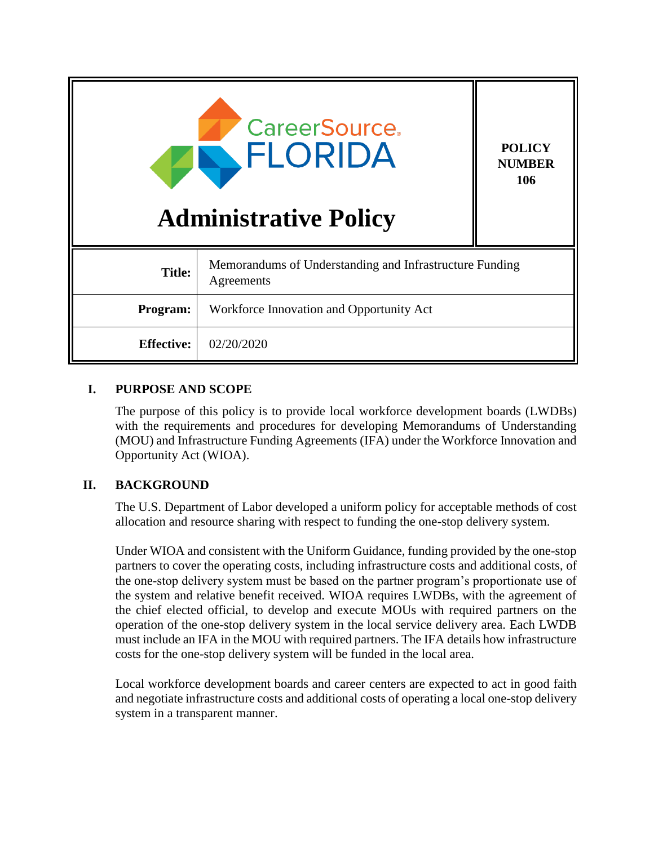| <b>CareerSource.</b><br><b>FLORIDA</b><br><b>Administrative Policy</b> |                                                                       | <b>POLICY</b><br><b>NUMBER</b><br>106 |
|------------------------------------------------------------------------|-----------------------------------------------------------------------|---------------------------------------|
| <b>Title:</b>                                                          | Memorandums of Understanding and Infrastructure Funding<br>Agreements |                                       |
| Program:                                                               | Workforce Innovation and Opportunity Act                              |                                       |
| <b>Effective:</b>                                                      | 02/20/2020                                                            |                                       |

## **I. PURPOSE AND SCOPE**

The purpose of this policy is to provide local workforce development boards (LWDBs) with the requirements and procedures for developing Memorandums of Understanding (MOU) and Infrastructure Funding Agreements (IFA) under the Workforce Innovation and Opportunity Act (WIOA).

## **II. BACKGROUND**

The U.S. Department of Labor developed a uniform policy for acceptable methods of cost allocation and resource sharing with respect to funding the one-stop delivery system.

Under WIOA and consistent with the Uniform Guidance, funding provided by the one-stop partners to cover the operating costs, including infrastructure costs and additional costs, of the one-stop delivery system must be based on the partner program's proportionate use of the system and relative benefit received. WIOA requires LWDBs, with the agreement of the chief elected official, to develop and execute MOUs with required partners on the operation of the one-stop delivery system in the local service delivery area. Each LWDB must include an IFA in the MOU with required partners. The IFA details how infrastructure costs for the one-stop delivery system will be funded in the local area.

Local workforce development boards and career centers are expected to act in good faith and negotiate infrastructure costs and additional costs of operating a local one-stop delivery system in a transparent manner.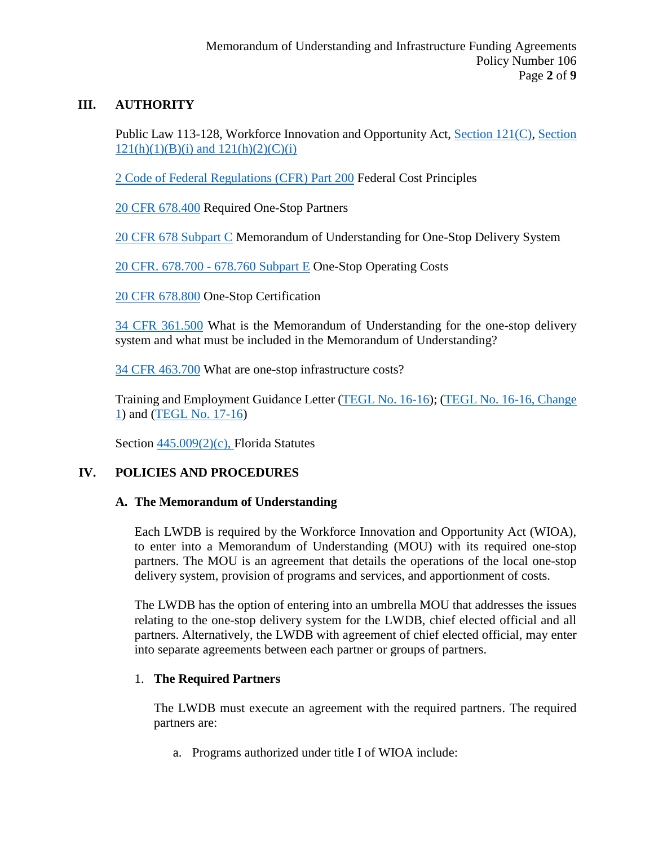## **III. AUTHORITY**

Public Law 113-128, Workforce Innovation and Opportunity Act, [Section 121\(C\),](https://www.govinfo.gov/content/pkg/PLAW-113publ128/pdf/PLAW-113publ128.pdf) Section  $121(h)(1)(B)(i)$  and  $121(h)(2)(C)(i)$ 

[2 Code of Federal Regulations \(CFR\) Part 200](https://www.gpo.gov/fdsys/pkg/CFR-2014-title2-vol1/pdf/CFR-2014-title2-vol1-part200.pdf) Federal Cost Principles

[20 CFR 678.400](https://www.govinfo.gov/content/pkg/CFR-2019-title20-vol4/pdf/CFR-2019-title20-vol4-sec678-400.pdf) Required One-Stop Partners

[20 CFR 678 Subpart C](https://www.govinfo.gov/content/pkg/CFR-2019-title20-vol4/pdf/CFR-2019-title20-vol4-part678-subpartC.pdf) Memorandum of Understanding for One-Stop Delivery System

[20 CFR. 678.700 -](https://www.govinfo.gov/content/pkg/CFR-2019-title20-vol4/pdf/CFR-2019-title20-vol4-part678-subpartE.pdf) 678.760 Subpart E One-Stop Operating Costs

[20 CFR 678.800](https://www.govinfo.gov/content/pkg/CFR-2019-title20-vol4/pdf/CFR-2019-title20-vol4-sec678-800.pdf) One-Stop Certification

[34 CFR 361.500](https://www.govinfo.gov/content/pkg/CFR-2017-title34-vol2/pdf/CFR-2017-title34-vol2-sec361-500.pdf) What is the Memorandum of Understanding for the one-stop delivery system and what must be included in the Memorandum of Understanding?

[34 CFR 463.700](https://www.govinfo.gov/content/pkg/CFR-2019-title34-vol3/pdf/CFR-2019-title34-vol3-sec463-700.pdf) What are one-stop infrastructure costs?

Training and Employment Guidance Letter [\(TEGL No. 16-16\)](https://wdr.doleta.gov/directives/corr_doc.cfm?DOCN=8772); [\(TEGL No. 16-16, Change](https://wdr.doleta.gov/directives/corr_doc.cfm?DOCN=3833)  [1\)](https://wdr.doleta.gov/directives/corr_doc.cfm?DOCN=3833) and [\(TEGL No. 17-16\)](https://wdr.doleta.gov/directives/corr_doc.cfm?DOCN=4968)

Section [445.009\(2\)\(c\),](http://www.leg.state.fl.us/statutes/index.cfm?mode=View%20Statutes&SubMenu=1&App_mode=Display_Statute&Search_String=infrastructure+funding+agreement&URL=0400-0499/0445/Sections/0445.009.html) Florida Statutes

# **IV. POLICIES AND PROCEDURES**

## **A. The Memorandum of Understanding**

Each LWDB is required by the Workforce Innovation and Opportunity Act (WIOA), to enter into a Memorandum of Understanding (MOU) with its required one-stop partners. The MOU is an agreement that details the operations of the local one-stop delivery system, provision of programs and services, and apportionment of costs.

The LWDB has the option of entering into an umbrella MOU that addresses the issues relating to the one-stop delivery system for the LWDB, chief elected official and all partners. Alternatively, the LWDB with agreement of chief elected official, may enter into separate agreements between each partner or groups of partners.

## 1. **The Required Partners**

The LWDB must execute an agreement with the required partners. The required partners are:

a. Programs authorized under title I of WIOA include: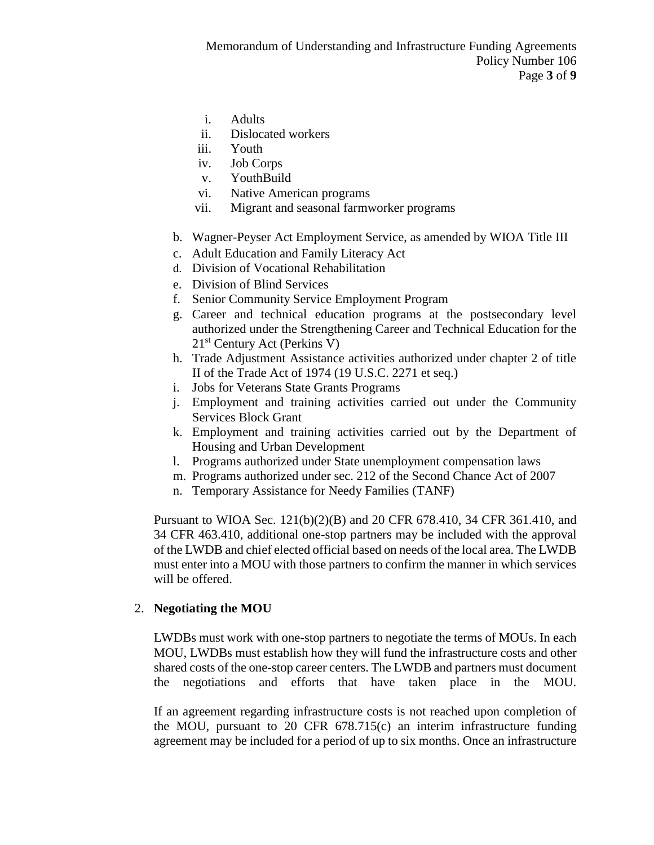- i. Adults
- ii. Dislocated workers
- iii. Youth
- iv. Job Corps
- v. YouthBuild
- vi. Native American programs
- vii. Migrant and seasonal farmworker programs
- b. Wagner-Peyser Act Employment Service, as amended by WIOA Title III
- c. Adult Education and Family Literacy Act
- d. Division of Vocational Rehabilitation
- e. Division of Blind Services
- f. Senior Community Service Employment Program
- g. Career and technical education programs at the postsecondary level authorized under the Strengthening Career and Technical Education for the 21st Century Act (Perkins V)
- h. Trade Adjustment Assistance activities authorized under chapter 2 of title II of the Trade Act of 1974 (19 U.S.C. 2271 et seq.)
- i. Jobs for Veterans State Grants Programs
- j. Employment and training activities carried out under the Community Services Block Grant
- k. Employment and training activities carried out by the Department of Housing and Urban Development
- l. Programs authorized under State unemployment compensation laws
- m. Programs authorized under sec. 212 of the Second Chance Act of 2007
- n. Temporary Assistance for Needy Families (TANF)

Pursuant to WIOA Sec. 121(b)(2)(B) and 20 CFR 678.410, 34 CFR 361.410, and 34 CFR 463.410, additional one-stop partners may be included with the approval of the LWDB and chief elected official based on needs of the local area. The LWDB must enter into a MOU with those partners to confirm the manner in which services will be offered.

#### 2. **Negotiating the MOU**

LWDBs must work with one-stop partners to negotiate the terms of MOUs. In each MOU, LWDBs must establish how they will fund the infrastructure costs and other shared costs of the one-stop career centers. The LWDB and partners must document the negotiations and efforts that have taken place in the MOU.

If an agreement regarding infrastructure costs is not reached upon completion of the MOU, pursuant to 20 CFR 678.715(c) an interim infrastructure funding agreement may be included for a period of up to six months. Once an infrastructure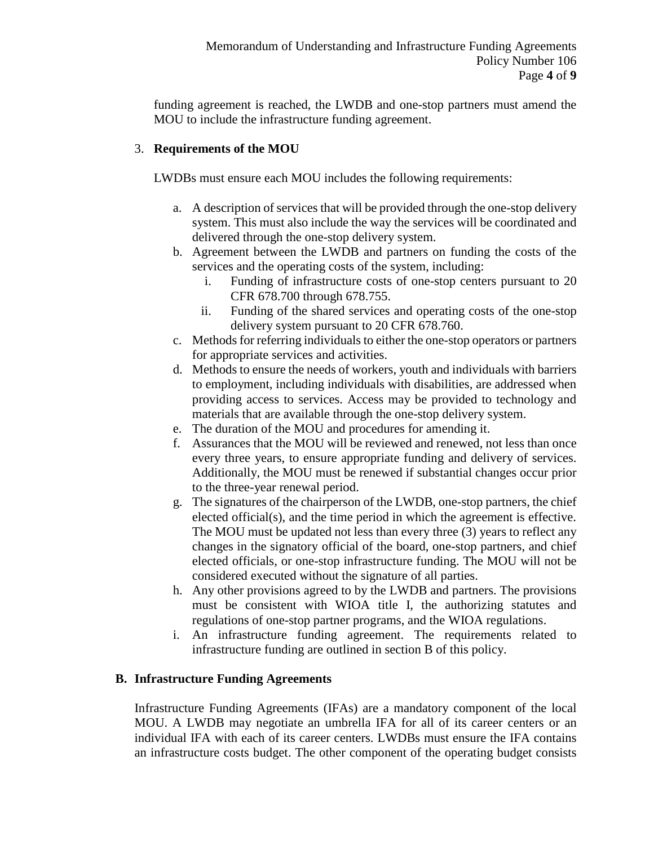funding agreement is reached, the LWDB and one-stop partners must amend the MOU to include the infrastructure funding agreement.

#### 3. **Requirements of the MOU**

LWDBs must ensure each MOU includes the following requirements:

- a. A description of services that will be provided through the one-stop delivery system. This must also include the way the services will be coordinated and delivered through the one-stop delivery system.
- b. Agreement between the LWDB and partners on funding the costs of the services and the operating costs of the system, including:
	- i. Funding of infrastructure costs of one-stop centers pursuant to 20 CFR 678.700 through 678.755.
	- ii. Funding of the shared services and operating costs of the one-stop delivery system pursuant to 20 CFR 678.760.
- c. Methods for referring individuals to either the one-stop operators or partners for appropriate services and activities.
- d. Methods to ensure the needs of workers, youth and individuals with barriers to employment, including individuals with disabilities, are addressed when providing access to services. Access may be provided to technology and materials that are available through the one-stop delivery system.
- e. The duration of the MOU and procedures for amending it.
- f. Assurances that the MOU will be reviewed and renewed, not less than once every three years, to ensure appropriate funding and delivery of services. Additionally, the MOU must be renewed if substantial changes occur prior to the three-year renewal period.
- g. The signatures of the chairperson of the LWDB, one-stop partners, the chief elected official(s), and the time period in which the agreement is effective. The MOU must be updated not less than every three (3) years to reflect any changes in the signatory official of the board, one-stop partners, and chief elected officials, or one-stop infrastructure funding. The MOU will not be considered executed without the signature of all parties.
- h. Any other provisions agreed to by the LWDB and partners. The provisions must be consistent with WIOA title I, the authorizing statutes and regulations of one-stop partner programs, and the WIOA regulations.
- i. An infrastructure funding agreement. The requirements related to infrastructure funding are outlined in section B of this policy.

#### **B. Infrastructure Funding Agreements**

Infrastructure Funding Agreements (IFAs) are a mandatory component of the local MOU. A LWDB may negotiate an umbrella IFA for all of its career centers or an individual IFA with each of its career centers. LWDBs must ensure the IFA contains an infrastructure costs budget. The other component of the operating budget consists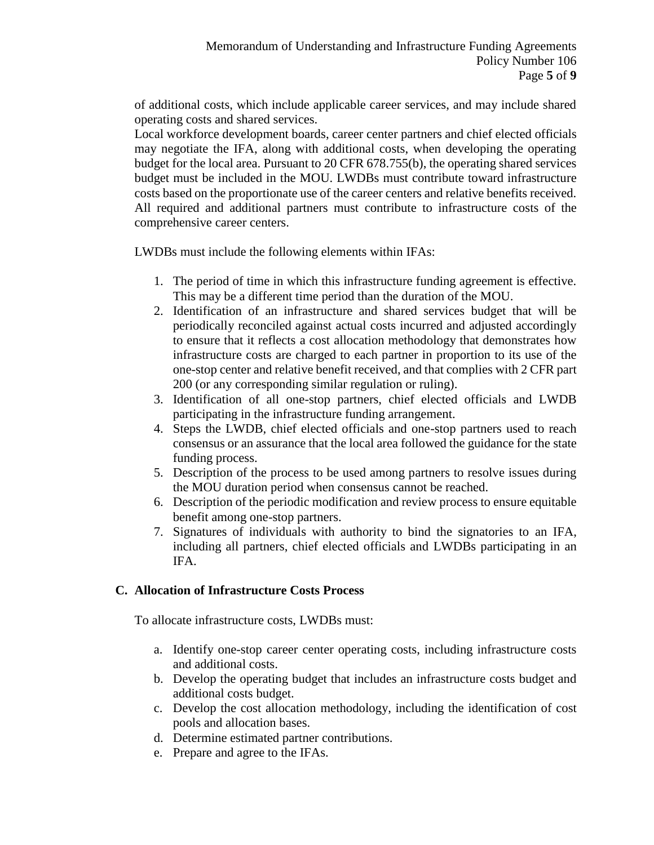of additional costs, which include applicable career services, and may include shared operating costs and shared services.

Local workforce development boards, career center partners and chief elected officials may negotiate the IFA, along with additional costs, when developing the operating budget for the local area. Pursuant to 20 CFR 678.755(b), the operating shared services budget must be included in the MOU. LWDBs must contribute toward infrastructure costs based on the proportionate use of the career centers and relative benefits received. All required and additional partners must contribute to infrastructure costs of the comprehensive career centers.

LWDBs must include the following elements within IFAs:

- 1. The period of time in which this infrastructure funding agreement is effective. This may be a different time period than the duration of the MOU.
- 2. Identification of an infrastructure and shared services budget that will be periodically reconciled against actual costs incurred and adjusted accordingly to ensure that it reflects a cost allocation methodology that demonstrates how infrastructure costs are charged to each partner in proportion to its use of the one-stop center and relative benefit received, and that complies with 2 CFR part 200 (or any corresponding similar regulation or ruling).
- 3. Identification of all one-stop partners, chief elected officials and LWDB participating in the infrastructure funding arrangement.
- 4. Steps the LWDB, chief elected officials and one-stop partners used to reach consensus or an assurance that the local area followed the guidance for the state funding process.
- 5. Description of the process to be used among partners to resolve issues during the MOU duration period when consensus cannot be reached.
- 6. Description of the periodic modification and review process to ensure equitable benefit among one-stop partners.
- 7. Signatures of individuals with authority to bind the signatories to an IFA, including all partners, chief elected officials and LWDBs participating in an IFA.

## **C. Allocation of Infrastructure Costs Process**

To allocate infrastructure costs, LWDBs must:

- a. Identify one-stop career center operating costs, including infrastructure costs and additional costs.
- b. Develop the operating budget that includes an infrastructure costs budget and additional costs budget.
- c. Develop the cost allocation methodology, including the identification of cost pools and allocation bases.
- d. Determine estimated partner contributions.
- e. Prepare and agree to the IFAs.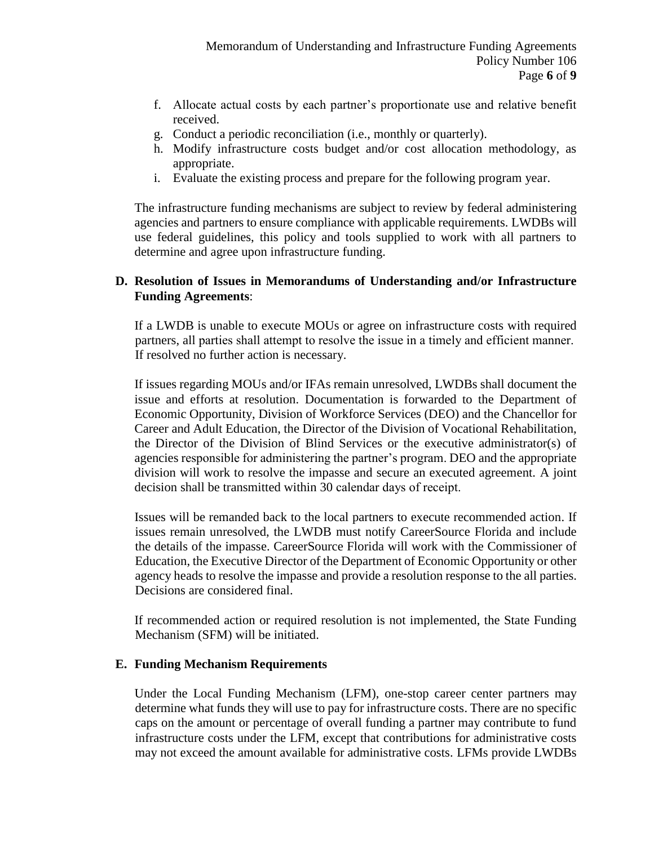- f. Allocate actual costs by each partner's proportionate use and relative benefit received.
- g. Conduct a periodic reconciliation (i.e., monthly or quarterly).
- h. Modify infrastructure costs budget and/or cost allocation methodology, as appropriate.
- i. Evaluate the existing process and prepare for the following program year.

The infrastructure funding mechanisms are subject to review by federal administering agencies and partners to ensure compliance with applicable requirements. LWDBs will use federal guidelines, this policy and tools supplied to work with all partners to determine and agree upon infrastructure funding.

#### **D. Resolution of Issues in Memorandums of Understanding and/or Infrastructure Funding Agreements**:

If a LWDB is unable to execute MOUs or agree on infrastructure costs with required partners, all parties shall attempt to resolve the issue in a timely and efficient manner.  If resolved no further action is necessary.

If issues regarding MOUs and/or IFAs remain unresolved, LWDBs shall document the issue and efforts at resolution. Documentation is forwarded to the Department of Economic Opportunity, Division of Workforce Services (DEO) and the Chancellor for Career and Adult Education, the Director of the Division of Vocational Rehabilitation, the Director of the Division of Blind Services or the executive administrator(s) of agencies responsible for administering the partner's program. DEO and the appropriate division will work to resolve the impasse and secure an executed agreement. A joint decision shall be transmitted within 30 calendar days of receipt. 

Issues will be remanded back to the local partners to execute recommended action. If issues remain unresolved, the LWDB must notify CareerSource Florida and include the details of the impasse. CareerSource Florida will work with the Commissioner of Education, the Executive Director of the Department of Economic Opportunity or other agency heads to resolve the impasse and provide a resolution response to the all parties. Decisions are considered final.

If recommended action or required resolution is not implemented, the State Funding Mechanism (SFM) will be initiated.

#### **E. Funding Mechanism Requirements**

Under the Local Funding Mechanism (LFM), one-stop career center partners may determine what funds they will use to pay for infrastructure costs. There are no specific caps on the amount or percentage of overall funding a partner may contribute to fund infrastructure costs under the LFM, except that contributions for administrative costs may not exceed the amount available for administrative costs. LFMs provide LWDBs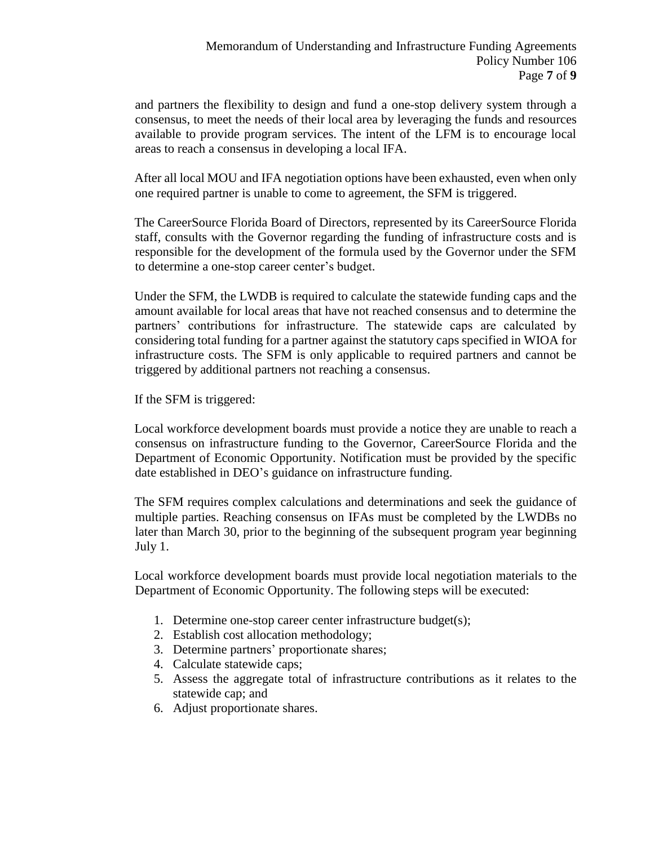and partners the flexibility to design and fund a one-stop delivery system through a consensus, to meet the needs of their local area by leveraging the funds and resources available to provide program services. The intent of the LFM is to encourage local areas to reach a consensus in developing a local IFA.

After all local MOU and IFA negotiation options have been exhausted, even when only one required partner is unable to come to agreement, the SFM is triggered.

The CareerSource Florida Board of Directors, represented by its CareerSource Florida staff, consults with the Governor regarding the funding of infrastructure costs and is responsible for the development of the formula used by the Governor under the SFM to determine a one-stop career center's budget.

Under the SFM, the LWDB is required to calculate the statewide funding caps and the amount available for local areas that have not reached consensus and to determine the partners' contributions for infrastructure. The statewide caps are calculated by considering total funding for a partner against the statutory caps specified in WIOA for infrastructure costs. The SFM is only applicable to required partners and cannot be triggered by additional partners not reaching a consensus.

If the SFM is triggered:

Local workforce development boards must provide a notice they are unable to reach a consensus on infrastructure funding to the Governor, CareerSource Florida and the Department of Economic Opportunity. Notification must be provided by the specific date established in DEO's guidance on infrastructure funding.

The SFM requires complex calculations and determinations and seek the guidance of multiple parties. Reaching consensus on IFAs must be completed by the LWDBs no later than March 30, prior to the beginning of the subsequent program year beginning July 1.

Local workforce development boards must provide local negotiation materials to the Department of Economic Opportunity. The following steps will be executed:

- 1. Determine one-stop career center infrastructure budget(s);
- 2. Establish cost allocation methodology;
- 3. Determine partners' proportionate shares;
- 4. Calculate statewide caps;
- 5. Assess the aggregate total of infrastructure contributions as it relates to the statewide cap; and
- 6. Adjust proportionate shares.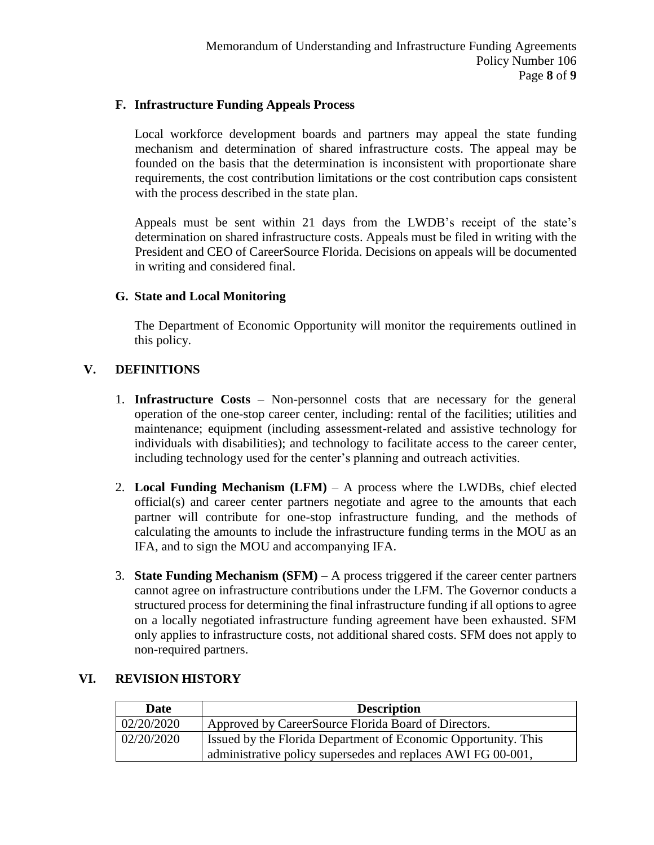#### **F. Infrastructure Funding Appeals Process**

Local workforce development boards and partners may appeal the state funding mechanism and determination of shared infrastructure costs. The appeal may be founded on the basis that the determination is inconsistent with proportionate share requirements, the cost contribution limitations or the cost contribution caps consistent with the process described in the state plan.

Appeals must be sent within 21 days from the LWDB's receipt of the state's determination on shared infrastructure costs. Appeals must be filed in writing with the President and CEO of CareerSource Florida. Decisions on appeals will be documented in writing and considered final.

#### **G. State and Local Monitoring**

The Department of Economic Opportunity will monitor the requirements outlined in this policy.

## **V. DEFINITIONS**

- 1. **Infrastructure Costs** Non-personnel costs that are necessary for the general operation of the one-stop career center, including: rental of the facilities; utilities and maintenance; equipment (including assessment-related and assistive technology for individuals with disabilities); and technology to facilitate access to the career center, including technology used for the center's planning and outreach activities.
- 2. **Local Funding Mechanism (LFM)** A process where the LWDBs, chief elected official(s) and career center partners negotiate and agree to the amounts that each partner will contribute for one-stop infrastructure funding, and the methods of calculating the amounts to include the infrastructure funding terms in the MOU as an IFA, and to sign the MOU and accompanying IFA.
- 3. **State Funding Mechanism (SFM)** A process triggered if the career center partners cannot agree on infrastructure contributions under the LFM. The Governor conducts a structured process for determining the final infrastructure funding if all options to agree on a locally negotiated infrastructure funding agreement have been exhausted. SFM only applies to infrastructure costs, not additional shared costs. SFM does not apply to non-required partners.

| Date       | <b>Description</b>                                                                                                             |
|------------|--------------------------------------------------------------------------------------------------------------------------------|
| 02/20/2020 | Approved by CareerSource Florida Board of Directors.                                                                           |
| 02/20/2020 | Issued by the Florida Department of Economic Opportunity. This<br>administrative policy supersedes and replaces AWI FG 00-001, |

## **VI. REVISION HISTORY**